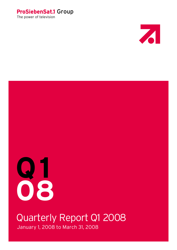# The power of television ProSiebenSat.1 Group





# Quarterly Report Q1 2008

January 1, 2008 to March 31, 2008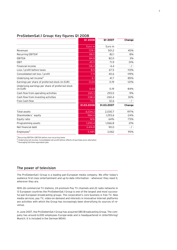|                                                              | <b>Q1 2008</b> | <b>Q1 2007</b> | Change    |
|--------------------------------------------------------------|----------------|----------------|-----------|
|                                                              | Euro m         | Euro m         |           |
| Revenues                                                     | 729.1          | 501.2          | 45%       |
| Recurring EBITDA <sup>1</sup>                                | 88.5           | 82.1           | 8%        |
| <b>EBITDA</b>                                                | 84.8           | 82.0           | 3%        |
| <b>EBIT</b>                                                  | 49.9           | 71.9           | $-31%$    |
| <b>Financial income</b>                                      | $-58.4$        | $-4.4$         | $-$ / $-$ |
| Loss / profit before taxes                                   | $-8.5$         | 67.5           | $-113%$   |
| Consolidated net loss / profit                               | $-7.9$         | 40.6           | $-119%$   |
| Underlying net income <sup>2</sup>                           | 6.1            | 41.7           | $-85%$    |
| Earnings per share of preferred stock (in EUR)               | $-0.04$        | 0.19           | $-121%$   |
| Underlying earnings per share of preferred stock<br>(in EUR) | 0.03           | 0.19           | $-84%$    |
| Cash flow from operating activities                          | 265.3          | 293.0          | $-9%$     |
| Cash flow from investing activities                          | $-338.4$       | $-260.4$       | 30%       |
| Free Cash-flow                                               | $-73.1$        | 32.6           | $-$ / $-$ |
|                                                              | 31.03.2008     | 31.03.2007     | Change    |
| Total assets                                                 | 6,034.3        | 2,030.7        | 197%      |
| Shareholders' equity                                         | 984.4          | 1.293.6        | $-24%$    |
| Equity ratio                                                 | 16%            | 64%            | $-75%$    |
| Programming assets                                           | 1,290.4        | 1,066.8        | 21%       |
| Net financial debt                                           | 3,414.8        | 90.0           | $-$ / $-$ |
| Emplovees <sup>3</sup>                                       | 5,985          | 3,062          | 95%       |
|                                                              |                |                |           |

# ProSiebenSat.1 Group: Key figures Q1 2008

<sup>1</sup> Recurring EBITDA: EBITDA before non-recurring items

Underlying net income: Consolidated net profit before effects of purchase price allocation

3 Averaging full-time equivalent jobs

# The power of television

The ProSiebenSat.1 Group is a leading pan-European media company. We offer today's audience first-class entertainment and up-to-date information – whenever they need it, wherever they are.

With 26 commercial TV stations, 24 premium Pay TV channels and 22 radio networks in 13 European countries the ProSiebenSat.1 Group is one of the largest and most successful pan-European broadcasting groups. The corporation's core business is free TV. New media services, pay TV, video-on-demand and interests in innovative Internet platforms are activities with which the Group has increasingly been diversifying its sources of revenue.

In June 2007, the ProSiebenSat.1 Group has acquired SBS Broadcasting Group. The company has around 6.000 employees Europe-wide and is headquartered in Unterföhring/ Munich. It is included in the German MDAX.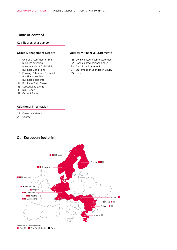# Table of content

# Key figures at a glance

# Group Management Report

- 4 Overall assessment of the business situation
- Major events of Q1 2008 & 4 Business Conditions
- 5 Earnings Situation, Financial Position & Net Worth
- 11 Business Segments
- 14 ProSiebenSat.1 Share
- 16 Subsequent Events
- 16 Risk Report
- 17 Outlook Report

# Additional information

- 28 Financial Calendar
- 28 Contact

# Our European footprint



# Quarterly Financial Statements

- 21 Consolidated Income Statement
- 22 Consolidated Balance Sheet
- 23 Cash Flow Statement
- 24 Statement of Changes in Equity
- 25 Notes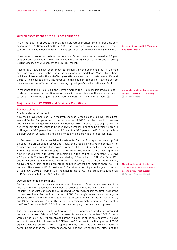# Overall assessment of the business situation

In the first quarter of 2008, the ProSiebenSat.1 Group profited from its first time consolidation of SBS Broadcasting Group (SBS) and increased its revenues by 45.5 percent to EUR 729.1 million. Recurring EBITDA was up 7.8 percent to reach EUR 88.5 million.

However, on a pro forma basis for the combined Group, revenues decreased by 2.0 percent or EUR 14.9 million to EUR 729.1 million in Q1 2008 versus Q1 2007 and recurring EBITDA declined by 25.1 percent to EUR 88.5 million.

Results in Q1 2008 have been impacted primarily by the segment Free TV German speaking region. Uncertainties about the new marketing model for TV advertising time, which was introduced at the end of last year after an investigation by Germany's Federal Cartel Office, caused advertising revenues in this segment to decline. Revenue performance was further affected, after a time lag, by last year's weaker ratings at Sat.1.

In response to the difficulties in the German market, the Group has initiated a number of steps to improve its operating performance in the next few months, and especially to focus its marketing organization in Germany better on the market's needs.  $\overline{\mathbb{Z}}$ 

# Major events in Q1 2008 and Business Conditions

# Business climate

# The industry environment

Advertising investments on TV in the ProSiebenSat.1 Group's markets in Northern, Eastern and Central Europe varied in the first quarter of 2008, but the overall picture was positive. Figures ranged from a decline in Denmark (–6.1 percent net) to slight growth in net TV advertising revenues in Sweden (+2.0 percent) to continuing explosive growth in Hungary (+10.6 percent gross) and Romania (+18.0 percent net). Gross growth in Belgium was 9.1 percent; Finland also showed dynamic growth, at 6.3 percent net.

In Germany, gross TV advertising investments for the first quarter were up 5.4 percent, to EUR 2.1 billion. SevenOne Media, the Group's TV marketing company for German-speaking Europe, had gross revenues of EUR 839.7 million, compared to EUR 848.5 million for the first quarter of 2007. The market share race tightened a bit in the quarter, with SevenOne remaining in the lead at 40.2 percent (Q1 2007: 42.8 percent). The free TV stations marketed by IP Deutschland – RTL, Vox, Super RTL and n-tv – generated EUR 782.0 million for the period (Q1 2007: EUR 753.6 million), equivalent to a gain of 0.3 percentage points in advertising market share, to 37.4 percent. The share of RTL2 marketer El Cartel rose to 6.1 percent against the prior year (Q1 2007: 5.1 percent). In nominal terms, El Cartel's gross revenues grew EUR 27.2 million, to EUR 128.2 million.

### Overall economic environment

So far, the crisis in the financial markets and the weak U.S. economy have had little impact on the European economy. Industrial production (not including the construction industry) in the Euro Zone and the European Union proved robust in the first two months of the current year. For the first quarter of 2008, Germany's ifo Institute expects gross domestic product in the Euro Zone to grow 0.5 percent in real terms against Q4 of 2007, and 1.9 percent against Q1 of 2007. But inflation remains high – rising to 3.6 percent in the Euro Zone in March (EU 27: 3.8 percent) and sapping consumer buying power.

The economy remained stable in Germany as well. Aggregate production grew 2.4 percent in January-February 2008 compared to November-December 2007. Exports were up vigorously, by 8.9 percent, against the two months of the previous year. The DIW economic research institute expects GDP to grow 0.5 percent in the first quarter of 2008 against the fourth quarter of 2007. Despite the sunny start to the year, however, there are gathering signs that the German economy will not entirely escape the effects of the Increase of sales and EBITDA due to SBS consolidation

Action plan implemented to increase competitiveness and profitability Outlook Report

 Business Segment Report Market leadership in the German TV advertising market maintained despite difficult first quarter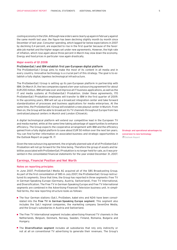cooling economy in the USA. Although new orders were clearly up again in February against the same month last year, the figure has been declining slightly month by month since December of last year. Consumer spending, which lagged far below expectations in 2007 by declining 0.4 percent, are expected to rise in the first quarter because of the favorable job market and the higher wages set under new agreements. However, the high rate of inflation, which rose again above three percent in March may slow down the economy. Energy and food prices in particular rose again drastically.

#### Major events of Q1 2008

# ProSiebenSat.1 and IBM establish first pan-European digital platform

The ProSiebenSat.1 Group aims to make the most of its content in all media and in every country. Innovative technology is a crucial part of this strategy. The goal is to establish a fully digital, tapeless technological infrastructure.

The ProSiebenSat.1 Group is setting up its pan-European platform in partnership with IBM. On March 31, the two companies signed a ten-year outsourcing agreement for about EUR 200 million. IBM will take over and improve all IT business applications, as well as the IT and media systems at ProSiebenSat.1 Produktion. Under these agreements, 170 ProSiebenSat.1 Produktion employees will transfer to IBM in the first quarter of 2009. In the upcoming years, IBM will set up a broadcast integration center and take forward standardization of processes and business applications for media enterprises. At the same time, the ProSiebenSat.1 Group will establish a new playout center in Munich. From then on, the Group will be able to broadcast its TV channels throughout Europe from two centralized playout centers in Munich and London (Chiswick).

A digital technological platform will extend our competitive lead in the European TV and media market, while at the same time taking advantage of opportunities to enhance efficiency. The Group expects the cooperative arrangement with IBM and the efficiency gained from a fully digital platform to save about EUR 50 million over the next ten years. You can find further information on associated business and strategic opportunities in the Outlook Report on page 19.

Given the new outsourcing agreement, the originally planned sale of all of ProSiebenSat.1 Produktion will not go forward for the time being. Therefore the group of assets and liabilities associated with ProSiebenSat.1 Produktion is no longer held for sale, as it was presented in the consolidated financial statements for the year ended December 31, 2007.

# Earnings, Financial Position and Net Worth

# Notes on reporting principles

In June 2007, ProSiebenSat.1 Media AG acquired all of the SBS Broadcasting Group. As part of the first consolidation of SBS in July 2007, the ProSiebenSat.1 Group restructured its segments. Since that time, the Group has reported in three segments: Free TV in German-Speaking Europe (Germany, Austria, Switzerland), Free TV International, and Diversification. The Free TV in German-Speaking Europe and Free TV International segments are combined in the Advertising-Financed Television business unit. In simplified terms, the new reporting structure looks as follows:

- The four German stations (Sat.1, ProSieben, kabel eins and N24) have been consolidated into the Free TV in German-Speaking Europe segment. This segment also includes the Sat.1 regional companies, the marketing company SevenOne Media, and the Group's subsidiaries in Austria and Switzerland.
- The Free TV International segment includes advertising-financed TV channels in the Netherlands, Belgium, Denmark, Norway, Sweden, Finland, Romania, Bulgaria and Hungary.
- **The Diversification segment** includes all subsidiaries that rely only indirectly or not at all on conventional TV advertising to generate their revenues. The Group's

 Outlook Report Strategic and operational advantages by conversion to new technology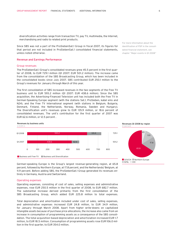diversification activities range from transaction TV, pay TV, multimedia, the Internet, merchandising and radio to related print products.

Since SBS was not a part of the ProSiebenSat.1 Group in fiscal 2007, its figures for that period are not included in ProSiebenSat.1 consolidated financial statements, unless noted otherwise.

# Revenue and Earnings Performance

### Group revenues

The ProSiebenSat.1 Group's consolidated revenues grew 45.5 percent in the first quarter of 2008, to EUR 729.1 million (Q1 2007: EUR 501.2 million). The increase came from the consolidation of the SBS Broadcasting Group, which has been included in the consolidated books since July 2007. SBS contributed EUR 250.1 million to the Group's revenues for January through March of this year.

The first consolidation of SBS increased revenues in the two segments of the Free TV business unit to EUR 593.2 million (Q1 2007: EUR 438.6 million). Since the SBS acquisition, the Advertising-Financed Television unit has included both the Free TV in German-Speaking Europe segment (with the stations Sat.1, ProSieben, kabel eins and N24), and the Free TV International segment (with stations in Belgium, Bulgaria, Denmark, Finland, the Netherlands, Norway, Romania, Sweden and Hungary). The Diversification unit's revenues grew to EUR 135.9 million, or 18.6 percent of consolidated revenues. The unit's contribution for the first quarter of 2007 was EUR 62.6 million, or 12.5 percent .





Revenues Q1 2008 by region



German-speaking Europe is the Group's largest revenue-generating region, at 65.8 percent, followed by Northern Europe, at 17.8 percent, and the Netherlands/ Belgium, at 11.9 percent. Before adding SBS, the ProSiebenSat.1 Group generated its revenues entirely in Germany, Austria and Switzerland.

# Operating expenses

Operating expenses, consisting of cost of sales, selling expenses and administrative expenses, rose EUR 250.5 million in the first quarter of 2008, to EUR 682.7 million. The substantial increase derived primarily from the first consolidation of the SBS Broadcasting Group, which added EUR 225.8 million to total expenses.

Total depreciation and amortization included under cost of sales, selling expenses, and administrative expenses increased EUR 24.8 million, to EUR 34.9 million, for January through March 2008. Apart from higher write-downs on capitalized intangible assets because of purchase price allocations, the increase also came from an increase in consumption of programming assets as a consequence of the SBS consolidation. The total acquisition-based depreciation and amortiziation increased EUR 1.7 million, to EUR 18.5 million. Consumption of programming assets rose EUR 106.0 million in the first quarter, to EUR 354.0 million.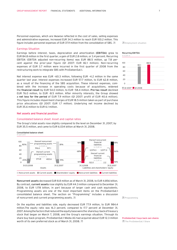Personnel expenses, which are likewise reflected in the cost of sales, selling expenses and administrative expenses, increased EUR 34.3 million to reach EUR 100.2 million. This figure includes personnel expenses of EUR 37.9 million from the consolidation of SBS.  $\overline{a}$ 

## Earnings Situation

Earnings before interest, taxes, depreciation and amortization (EBITDA) grew to EUR 84.8 million in the first quarter, a gain of EUR 2.8 million, or 3.4 percent. Recurring EBITDA (EBITDA adjusted non-recurring items) was EUR 88.5 million, up 7.8 percent against the prior-year figure (Q1 2007: EUR 82.1 million). Non-recurring expenses of EUR 3.7 million were incurred in the first quarter of 2008 from the restructuring work to integrate SBS with ProSiebenSat.1.

Net interest expense was EUR –60.3 million, following EUR –4.2 million in the same quarter last year. Interest expenses increased EUR 57.7 million, to EUR 62.8 million, as a result of the financing of the SBS acquisition. These interest expenses, combined with the increase in operating costs because of acquisitions, widened the financial result by EUR 54.0 million, to EUR -58.4 million. Pre-tax result declined EUR 76.0 million, to EUR –8.5 million. After minority interests, the Group showed a net loss for the period of EUR 7.9 million (Q1 2007: profit of EUR 40.6 million). This figure includes impairment charges of EUR 18.5 million taken as part of purchase price allocations (Q1 2007: EUR 1.7 million). Underlying net income declined by EUR 35.6 million to EUR 6.1 million.

# Net assets and financial position

Consolidated balance sheet

### Consolidated balance sheet: Asset and capital ratios

The Group's total assets rose slightly compared to the level on December 31, 2007, by EUR 35.5 million, and came to EUR 6.034 billion at March 31, 2008.



Noncurrent assets decreased EUR 8.8 million as of March 31, 2008, to EUR 4.856 billion. By contrast, current assets rose slightly by EUR 44.3 million compared to December 31, 2008, to EUR 1.178 billion, in part because of larger cash and cash equivalents. Programming assets are one of the most important items on the ProSiebenSat.1 consolidated balance sheet. The section on "Programming" includes a discussion of noncurrent and current programming assets.  $\overline{a}$ 

On the equities and liabilities side, equity decreased EUR 77.9 million, to EUR 984.4 million.The equity ratio was 16.3 percent, compared to 17.7 percent at December 31, 2007. Among the factors that reduced the equity base were the share buy-back of treasury stock that began on March 7, 2008, and the Group's earnings situation. Through its share buy-back program, ProSiebenSat.1 Media AG had acquired about EUR 12.3 million worth of its own preferred stock as of March 31, 2008.

Employment situation

#### In EUR m Recurring EBITDA



**Z** Programming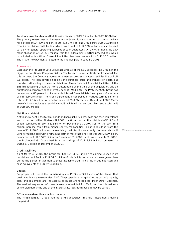Total noncurrent and current liabilities increased by EUR 113.4 million, to EUR 5.050 billion. The primary reason was an increase in short-term loans and other borrowings, which rose a total of EUR 129.8 million, to EUR 132.0 million. The Group drew EUR 130.0 million from its revolving credit facility, which has a limit of EUR 600 million and can be used variably for general operating purposes or bank guarantees. On the other hand, the payment obligation of EUR 120 million from the Federal Cartel Office proceedings, which is included within Other Current Liabilities, has been reduced by EUR 60.0 million. The first of two payments related to the fine was paid in January 2008.

### **Borrowings**

Last year, the ProSiebenSat.1 Group acquired all of the SBS Broadcasting Group, in the biggest acquisition in Company history. The transaction was entirely debt-financed. For this purpose, the Company agreed on a new secured syndicated credit facility of EUR 3.6 billion. The loan covered not only the purchase price and transaction costs, but the also refinancing of financial liabilities. These included financial liabilities of the SBS Broadcasting Group that were outstanding at the time of the acquisition, and an outstanding corporate bond of ProSiebenSat.1 Media AG. The ProSiebenSat.1 Group has hedged some 80 percent of its variable-interest financial liabilities by way of a variety of interest-rate swaps. The credit agreement is composed of various term loans for a total of EUR 3.6 billion, with maturities until 2014 (Term Loan B) and until 2015 (Term Loan C). It also includes a revolving credit facility with a term until 2014 and a total limit of EUR 600 million.

# Net financial debt

Net financial debt is the total of bonds and bank liabilities, less cash and cash equivalents and current securities. At March 31, 2008, the Group had net financial debt of EUR 3.415 billion, compared to EUR 3.328 billion on December 31, 2007. Most of the EUR 86.4 million increase came from higher short-term liabilities to banks resulting from the draw of EUR 130.0 million on the revolving credit facility, as already discussed above. Long-term bank debt with a remaining term of more than one year was EUR 3.579 billion, compared to EUR 3.577 billion on December 31, 2007. In all, as of March 31, 2008, the ProSiebenSat.1 Group had total borrowings of EUR 3.711 billion, compared to EUR 3.579 billion on December 31, 2007.

### Credit facilities

As of March 31, 2008, the Group still had EUR 435.5 million remaining unused in its revolving credit facility. EUR 34.5 million of this facility were used as bank guarantees during the period. In addition to these available credit lines, the Group had cash and cash equivalents of EUR 296.4 million.

### Leases

For property it uses at the Unterföhring site, ProSiebenSat.1 Media AG has leases that qualify as finance leases under IAS 17. The properties are capitalized as part of property, plant and equipment, and the associated leases are recognized under Other Liabilities. The earliest expiration of these leases is scheduled for 2019, but the interest rate conversion dates (the end of the interest rate lock-down period) may be earlier.

# Off-balance-sheet financial instruments

The ProSiebenSat.1 Group had no off-balance-sheet financial instruments during the period.

**Z** Consolidated Balance Sheet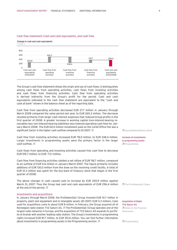# Cash flow statement: Cash and cash equivalents, and cash flow

# Change in cash and cash equivalents



The Group's cash flow statement shows the origin and use of cash flows. It distinguishes among cash flows from operating activities, cash flows from investing activities and cash flows from financing activities. Cash flow from operating activities is derived indirectly from the Group's profit for the period. Cash and cash equivalents indicated in the cash flow statement are equivalent to the "cash and cash at bank" shown in the balance sheet as of the reporting date.

Cash flow from operating activities decreased EUR 27.7 million in January through March 2008 compared the same period last year, to EUR 265.3 million. The decrease resulted primarily from larger cash interest expenses that reduced Group profits in the first quarter of 2008. A greater increase in working capital (non-interest-bearing receivables less non-interest-bearing liabilities) also lowered operating cash flow for January-March 2008. The EUR 60.0 million installment paid on the Cartel Office fine was a significant factor in the higher cash outflow compared to Q1 2007.

Cash flow from investing activities increased EUR 78.0 million, to EUR 338.4 million. Larger investments in programming assets were the primary factor in the larger cash outflow.

Cash flows from operating and investing activities caused free cash flow to decrease EUR 105.7 million, to EUR –73.1 million.

Cash flow from financing activities yielded a net inflow of EUR 118,7 million, compared to an outflow of EUR 0.6 million in January-March 2007. The figure primarily includes additions of EUR 130.0 million from the draw on the revolving credit facility. A total of EUR 12.3 million was spent for the buy-back of treasury stock that began in the first quarter of 2008.

The above changes in cash caused cash to increase by EUR 200.9 million against March 31, 2007. Thus the Group had cash and cash equivalents of EUR 296.4 million at the end of the period.  $\overline{A}$ 

### Investments and acquisitions

In January through March 2008, the ProSiebenSat.1 Group invested EUR 10.7 million in property, plant and equipment and in intangible assets (Q1 2007: EUR 5.3 million). Cash used for acquisitions came to about EUR 8 million. In February, the Group acquired all of Norwegian radio station TV2 Saturn AS. A The ProSiebenSat.1 Group operates one of the largest radio networks in Europe, and the acquisition of TV2 Saturn AS expands its portfolio of brands with another leading radio station. The Group's investments in programming rights increased EUR 81.7 million, to EUR 351.6 million. You can find further information about investments in programming assets in the Programming section.

**Z** Consolidated Balance Sheet

**Z** Programming Increase of investments in programming assets

**Z** The ProSiebenSat 1 Share

 Notes to the Financial Statements Acquisition of Radio TV2 Saturn AS

**Z** Programming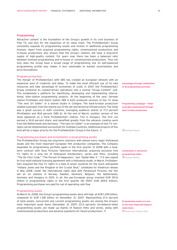#### Programming

Attractive content is the foundation of the Group's growth in its core business of Free TV, and also for the expansion of its value chain. The ProSiebenSat.1 Group constantly expands its programming assets and invests in additional programming licenses. Apart from acquired programming rights, commissioned productions and in-house productions also ensure that the Group's stations will have a long-term supply of high-quality content. For years now, there has been a balanced ratio between licensed programming and in-house or commissioned productions. Thus not only does the Group have a broad range of programming, but its well-balanced programming profile also makes it less vulnerable to market uncertainties and price fluctuations.

#### Program production

The merger of ProSiebenSat.1 with SBS has created an European network with an expansive pool of creativity and ideas. To make the most efficient use of its new resources and take advantage of economies of scale, in 2007 the ProSiebenSat.1 Group combined its content-driven operations into a central "Group Content" unit. This established a platform for identifying, developing and implementing international, inter-station programming projects. At the beginning of the year, German station ProSieben and Dutch station SBS 6 both produced versions of the TV show "The next Uri Geller" in a shared studio in Cologne. The back-to-back production yielded synergies from the shared use of the set and technical infrastructure. The show was a great success in both countries, averaging audience shares of 17.3 percent (ProSieben) and 18.8 percent (SBS 6). At the end of March, another version of the show appeared on a third ProSiebenSat.1 station, TV2 in Hungary. The first run earned a 30.8 percent share, and benefited greatly from the advance creative work from the Netherlands and Germany. "The next Uri Geller" is an example of how TV concepts can be implemented successfully for multiple countries. Additional projects of this kind will be a major priority for the ProSiebenSat.1 Group in the future.  $\overline{\mathbb{Z}}$ 

### Programming purchases and investments in programming assets

The ProSiebenSat.1 Group has long-term contracts with almost every major Hollywood studio and the most important European film production companies. The Company expanded its programming portfolio again in the first quarter of 2008 with a longterm contract with Sony Pictures Television International, acquiring exclusive free TV rights to a long list of Hollywood blockbusters, series and films, including "The Da Vinci Code," "The Pursuit of Happyness," and "Spider-Man 3." all talso signed its first multi-national licensing agreement with a Hollywood studio. In March, ProSieben-Sat.1 acquired the free TV rights in a total of seven countries for the much anticipated "Indiana Jones and the Kingdom of the Crystal Skull," scheduled for theatrical release in May 2008. Under the international rights deal with Paramount Pictures, the film will air on stations in Norway, Sweden, Denmark, Belgium, the Netherlands, Germany and Hungary in 2010. In all, the pan-European group invested EUR 351.6 million in programming rights in the first quarter (Q1 2007: EUR 269.9 million). Programming purchases are paid for out of operating cash flow.

#### Programming assets

At March 31, 2008, the Group's programming assets were still high, at EUR 1.290 billion, compared to EUR 1.318 billion on December 31, 2007. Representing 21.4 percent of total assets, noncurrent and current programming assets are among the Group's most important asset items (December 31, 2007: 22.0 percent). On-balance-sheet programming assets are made up mainly of feature films and series, along with commissioned productions and advance payments for future productions.

Advantages through combination of all programming activities

Programming campaign – initial synergies implemented through back-to-back productions

Outlook Report

 Outlook Report Investments in attractive programming rights

**A** Asset and capital ratios Programming assets are one of the most important balance sheet items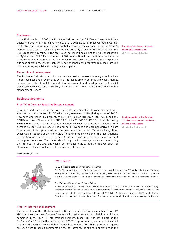# Employees

In the first quarter of 2008, the ProSiebenSat.1 Group had 5,945 employees in full-time equivalent positions. Approximately 3,033 (Q1 2007: 3,062) of these worked in Germany, Austria and Switzerland. The substantial increase in the average size of the Group's work force to a total of 2,883 employees was primarily a result of the integration of the SBS BroadcastingGroup.  $\overline{a}$  The staff also increased because of the full consolidation of MyVideo and PULS TV as of August 2007. An additional contribution to the increase came from new hires that 9Live and SevenSenses took on to handle their expanded business operations. By contrast, efficiency enhancement programs reduced staff size in some cases, especially at the regional companies.

# Research and development

The ProSiebenSat.1 Group conducts extensive market research in every area in which it does business and in every area where it foresees growth potential. However, market research activities do not fit the definition of research and development for financial disclosure puropses. For that reason, this information is omitted from the Consolidated Management Report.

# Business Segments

# Free TV in German-Speaking Europe segment

Revenues and earnings in the Free TV in German-Speaking Europe segment were affected by the slowdown in TV advertising revenues in the first quarter of 2008. Revenues decreased 4.9 percent, to EUR 417.1 million (Q1 2007: EUR 438.6 million). EBITDA was down 22.4 percent, to EUR 54.8 million (Q1 2007: EUR 70.6 million). Recurring EBITDA (EBITDA adjusted for exceptional influences) decreased EUR 13.1 million, or 18.5 percent, to EUR 57.6 million.  $\sqrt{ }$  The decline in revenues and earnings derived in part from uncertainties prompted by the new sales model for TV advertising time, which was introduced at the end of 2007 following the conclusion of the investigations by the German Federal Cartel Office. A further cause was the weak ratings at Sat.1 in the prior fiscal year. The station steadily improved its average audience share during the first quarter of 2008, but weaker performance in 2007 had the delayed effect of slowing advertisers' bookings at the beginning of the year.

 Asset and capital ratios Number of employees increases due to SBS consolidation

 Industry Environment Leading position in the German TV advertising market maintained despite difficult start

### Highlights in Q1 2008



#### Free TV D/A/CH

#### PULS 4: Austria gets a new full-service channel

The ProSiebenSat.1 Group has further expanded its presence in the Austrian TV market: the former Viennese metropolitan broadcasting channel PULS TV is being relaunched in February 2008 as PULS 4, Austria's fourth full-service channel. The 24-hour channel has a viewership of over one million TV households nationally.

#### The "Goldene Kamera" and Grimme Prizes

ProSiebenSat.1 Group channels were showered with honors in the first quarter of 2008: Stefan Raab's huge ProSieben show "Schlag den Raab" won a Goldene Kamera for best entertainment format, while the ProSieben crime comedy "Dr. Psycho" and the Sat.1 special "Fröhliche Weihnachten" won the 2008 Adolf Grimme Prize for entertainment, the only two shows from German commercial broadcasters to accomplish this feat.

# Free TV International segment

The acquisition of the SBS Broadcasting Group brought the Group a number of Free TV stations in Northern and Eastern Europe and in the Netherlands and Belgium, which are combined in the Free TV International segment. Since SBS was not a part of the ProSiebenSat.1 Group in the first quarter of 2007, its prior-year figures are not included in the ProSiebenSat.1 consolidated financial statements. But SBS's prior-year figures are used here to permit comments on the performance of business operations in the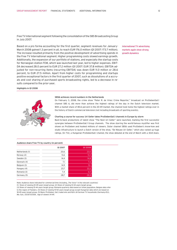Free TV International segment following the consolidation of the SBS Broadcasting Group in July 2007.

Based on a pro forma accounting for the first quarter, segment revenues for January-March 2008 gained 1.3 percent in all, to reach EUR 176.0 million (Q1 2007: 173.7 million). The increase resulted primarily from the positive development of advertising spends in the Free TV International segment. Higher programming costs slowed earnings growth. Additionally, the expansion of our portfolio of stations, and especially the startup costs for Norwegian station FEM, which was launched last year, led to higher expenses. EBIT-DA decreased 28.0 percent to EUR 27.2 million (Q1 2007: EUR 37.8 million). EBITDA adjusted for non-recurring items (recurring EBITDA) was down EUR 11.0 million or 28.6 percent, to EUR 27.5 million. Apart from higher costs for programming and startups positive exceptional factors in the first quarter of 2007, such as dissolutions of a accruals and cost sharing of purchased sports broadcasting rights, led to a decrease in results compared to the prior-year.

International TV advertising markets again show strong growth dynamics

#### Highlights in Q1 2008



#### SBS6 achieves record numbers in the Netherlands

On February 3, 2008, the crime show "Peter R. de Vries: Crime Reporter," broadcast on ProSiebenSat.1 channel SBS 6, did more than achieve the highest ratings of the day in the Dutch television market. With a market share of 80.6 percent in the 20-49 market, the channel took home the highest ratings ever in the history of Dutch commercial television (not including broadcasts of sporting events).

#### Charting a course for success: Uri Geller takes ProSiebenSat.1 channels in Europe by storm

Back-to-back productions of talent show "The Next Uri Geller" were launched, marking the first successful synergies between ProSiebenSat.1 Group channels. The show starring the world-famous mystifier was first shown on ProSieben and hooked millions of viewers. Sister channel SBS6 used ProSieben's know-how and studio infrastructure to launch a Dutch version of the show, "De Nieuwe Uri Geller," which also racked up huge ratings. On TV2, a Hungarian ProSiebenSat.1 channel, the show debuted at the end of March with a 30.8 share.

|                 | Q1 2007 | <b>Q1 2008</b> |
|-----------------|---------|----------------|
| Netherlands (1) | 20,6    | 23,0           |
| Norway (2)      | 13,6    | 13,3           |
| Sweden (3)      | 14,4    | 14,8           |
| Denmark (4)     | 7,1     | 7,6            |
| Belgium (3)     | 14,9    | 15,1           |
| Hungary (4)     | 23,7    | 22,2           |
| Romania (3)     | 7,4     | 6,0            |
| Germany (5)     | 28,7    | 28,8           |

# Audience share Free TV by country (in percent)

Note: Audience share indicated for commercial time (Including "The Voice" in the relevant countries) (1) Share of viewing 20-49 years target group. (2) Share of viewing 12-44 years target group.

(3) Share of viewing 15-44 years target group. Romania quarterly data based on Urban population. Belgian data refer to the region of Flanders. (4) Share of viewing 15-50 years target group except Hungarian data which are based on 18-49 years target group. (5) Basis: ProSieben, Sat.1, kabel eins and N24. All German TV households (Germany+EU), Mo.-Sun., 03:00-03:00h, Age of viewers 14-49.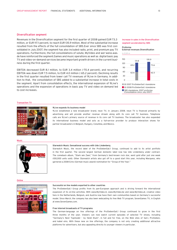# Diversification segment

Revenues in the Diversification segment for the first quarter of 2008 gained EUR 73.3 million, or EUR 117.1 percent, to reach EUR 135.9 million. Most of the substantial increase resulted from the effects of the full consolidation of SBS.Ever since SBS was first consolidated in July 2007, the segment has also included radio, print, and premium pay TV operations. Furthermore, the full consolidations of solute, MyVideo and wer-weiss.was. de have reinforced the segment.Games and music operations as well as digital basic pay TV and video-on-demand services became important growth drivers in the current business during the first quarter.

EBITDA decreased EUR 8.1 million, to EUR 3.4 million (–70.4 percent), and recurring EBITDA was down EUR 7.5 million, to EUR 4.0 million (–65.2 percent). Declining results in the first quarter resulted from lower call TV revenues of 9Live in Germany. In addition to that, the consolidation of SBS added to a substantial increase in total costs in the segment. Apart from consolidation effects, the international expansion of 9Live's operations and the expansion of operations in basic pay TV and video on demand led to cost increases.

# Increase in sales in the Diversification segment accelerated by SBS

# Proforma

# In EUR m External revenues Diversification





#### Transaction TV



#### **Music**



#### 9Live expands its business model

9Live established a new broadcaster brand, neun TV, in January 2008. neun TV is financed primarily by advertising and will provide another revenue stream along with its core call TV business. Telephone calls are 9Live's primary source of revenue in its core call TV business. The broadcaster has also expanded its international business model and acts as a full-service provider to produce interaction shows for partner broadcasters in Belgium, Hungary, Columbia, and Mexico.

#### Starwatch Music: Sensational success with Udo Lindenberg

Starwatch Music, the record label of the ProSiebenSat.1 Group, continued to add to its artist portfolio in the first quarter. The second largest German domestic label now has Udo Lindenberg under contract. The comeback album, "Stark wie Zwei," from Germany's best-known rock star, went gold after just one week (100,000 units sold). Other Starwatch artists also got off to a good start this year, including Marquess, who garnered a 2008 Echo (German music award) nomination for "Group of the Year."

#### Online



#### Successful on line models exported to other countries

The ProSiebenSat.1 Group profits from its pan-European approach and is driving forward the international expansion of its on-line activities. With www.MyVideo.nl, www.MyVideo.be and www.MyVideo.at, creative video. fans in the Netherlands, Belgium, and Austria now have their own communities based on Germany's successful model. Since March, the company has also been webcasting its free Web TV program, SevenGames TV, in English at www.SevenGames.com.

#### Free Internet broadcasts of TV programs

The German-language on line offerings of the ProSiebenSat.1 Group continued to grow in the first three months of the year. Viewers can now watch current episodes of selected TV shows, including "Germany's Next Topmodel – by Heidi Klum", in full and for free, on the Web sites of Sat.1, ProSieben, and kabel eins. With these new on line offerings, the company is not only creating additional attractive platforms for advertisers, but also appealing directly to younger viewers in particular.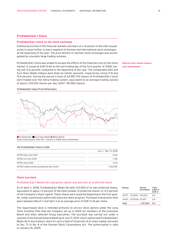# ProSiebenSat.1 Share

j

### ProSiebenSat.1 stock on the stock exchange

Continuing turmoil in the financial markets and fears of a recession in the USA caused prices to drop further in every segment of German and international stock exchanges at the beginning of the year. The price decline on German stock exchanges was accompanied by unusually large trading volumes.

ProSiebenSat.1 stock was unable to escape the effects of the financial crisis on the stock market. It closed at EUR 13.40 on the last trading day of the first quarter of 2008, having lost 17.6 percent compared to the beginning of the year. The comparable DAX and Euro Stoxx Media indexes were down by similar amounts, respectively losing 17.8 and 19.4 percent. During the period a total of 62,987,793 shares of ProSiebenSat.1 stock were traded over the Xetra trading system, equivalent to an average trading volume of about 1,015,932 shares per day (2007: 787,965 shares).

Difficult stock market impacts chart development

# ProSiebenSat.1 share: Price Performance



**ProSiebenSat.1** Euro Stoxx Media MDAX DAX Xetra closing quotes. Index 100 = January 2, 2008; Source: Bloomberg

#### The ProSiebenSat.1 share in trade

|                                                | Jan. 2 - Mar. 31, 2008 |
|------------------------------------------------|------------------------|
| XETRA high close (EUR)                         | 16.62                  |
| XETRA low close (EUR)                          | 11.85                  |
| XETRA close (EUR)                              | 13.70                  |
| XETRA trading volume (average per day) (units) | 1.032.587              |

# Share buy-back

# ProSiebenSat.1 Media AG reacquires about one percent of preferred stock

As of April 3, 2008, ProSiebenSat.1 Media AG held 1,127,500 of its own preferred shares, equivalent to about 1.0 percent of the total number of preferred shares, or 0.5 percent of the Company's share capital. These shares were acquired beginning in the first quarter, under a previously authorized share buy-back program. Purchase transactions took place between March 7 and April 3 at an average price of EUR 13.36 per share.

The repurchased stock is intended primarily to service stock options under the Long Term Incentive Plan that the Company set up in 2005 for members of the Executive Board and other selected Group executives. The buy-back was carried out under a solution of the Annual General Meeting of July 17, 2007, which authorized ProSiebenSat.1 Media AG to buy treasury stock for up to a total of 10 percent of its share capital, pursuant to Sec. 71 (1) No. 8 of the German Stock Corporations Act. The authorization is valid to January 16, 2009.

| Period                 | <b>Shares</b><br>purchased | Total<br>value in<br>FUR <sub>m</sub> |
|------------------------|----------------------------|---------------------------------------|
| 03/07-31/2008 934.003  |                            | 123                                   |
| 04/01 - 03/2008 93.497 |                            | 2 R                                   |
| Total                  | 1.127.500                  | 15.1                                  |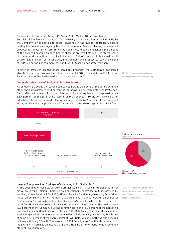Ownership of this stock brings ProSiebenSat.1 Media AG no entitlements. Under Sec. 71b of the Stock Corporations Act, treasury stock held directly or indirectly by the Company is not entitled to collect dividends. If the number of treasury shares held by the Company changes by the date of the Annual General Meeting, an amended proposal for allocation of profits will be submitted, keeping unchanged the amount of the dividend payable on each bearer share of preferred stock or registered share of common stock entitled to collect dividends. Out of the distributable net profit of EUR 3.106 billion for fiscal 2007, management will propose to pay a dividend of EUR 1.23 per no-par common share and EUR 1.25 per no-par preferred share.

Further information on the share buy-back program, the Company's ownership structure, and the proposed dividend for fiscal 2007 is available in the Investor Relations area of the ProSiebenSat.1 corporate Web site.  $\overline{\mathbb{Z}}$ 

# Ownership structure of ProSiebenSat.1 Media AG

As of March 31, 2008, the Lavena companies held 100 percent of the voting common stock and approximately 25.3 percent of the nonvoting preferred stock of ProSieben-Sat.1, after adjustment for other interests. This is equivalent to approximately 62.7 percent of the total share capital of ProSiebenSat.1 Media AG, likewise after adjustment for other interests. The remaining roughly 74.7 percent of the preferred stock, equivalent to approximately 37.3 percent of the share capital, is in free float.



\*thereof treasury stocks as of April 3, 2008: 1.0 percent of preferred shares respectively 0.5 percent of captal stock

### Lavena 5 acquires Axel Springer AG's holding in ProSiebenSat.1

At the beginning of fiscal 2008, Axel Springer AG sold its stake in ProSiebenSat.1 Media AG to Lavena Holding 5 GmbH, a holding company controlled by funds advised by Kohlberg Kravis Roberts & Co. L.P. (KKR) and Permira Beteiligungsberatung GmbH (Permira). On consummation of the purchase agreement in January 2008, all shares of ProSiebenSat.1 previously held by Axel Springer AG were transferred to Lavena Holding 5 GmbH, a wholly-owned subsidiary of Lavena Holding 4 GmbH. The deal covered 12.0 percent of the Company's voting common stock and 12.0 percent of the nonvoting preferred stock, both held indirectly through SAT.1 Beteiligungs GmbH. At the same time, Axel Springer AG also withdrew as a shareholder of SAT.1 Beteiligungs GmbH; its interest of some 48.2 percent of the share capital of SAT.1 Beteiligungs GmbH was also acquired by Lavena Holding 5 GmbH. The merger of SAT.1 Beteiligungs GmbH with Lavena Holding 5 GmbH in March 2008 means that Lavena Holding 5 now directly holds all common stock of ProSiebenSat.1.

The corresponding voting rights announcements are available on http://www.pro7sat1.com/investor\_ relations/dokument/

http://en.prosiebensat1.com/ investor\_relations/index\_en.php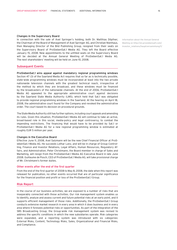### Changes in the Supervisory Board

In connection with the sale of Axel Springer's holding, both Dr. Matthias Döpfner, the Chairman of the Board of Management of Axel Springer AG, and Christian Nienhaus, then Managing Director of the Bild Publishing Group, resigned from their seats on the Supervisory Board of ProSiebenSat.1 Media AG. They left the Board effective January 15, 2008. New appointments to the unfilled seats on the Supervisory Board will be decided at the Annual General Meeting of ProSiebenSat.1 Media AG. The next shareholders' meeting will be held on June 10, 2008.

# Subsequent Events

ProSiebenSat.1 wins appeal against mandatory regional programming windows Section 47 (3) of the Saarland Media Act requires that so far as is technically possible, state-wide programming windows must be incorporated at least into the two private nationwide television channels with the greatest technical reach, irrespective of the method by which they are broadcast, and these windows must be financed by the broadcasters of the nationwide channels. At the end of 2006, ProSiebenSat.1 Media AG appealed to the appropriate administrative court against decisions by the Saarland State Media Authority (LMS), which held that Sat.1 was obligated to provide regional programming windows in the Saarland. At the hearing on April 18, 2008, the administrative court found for the Company and revoked the administrative order. The court based its decision on procedural grounds.

The State Media Authority still has further options, including court appeals and amending its rules. Given this situation, ProSiebenSat.1 Media AG will continue to take an active, broad-based role in this social, media-policy and legal controversy, to combat the impending restrictions. The financing that would have to be provided by Sat.1 or ProSiebenSat.1 Media AG for a new regional programming window is estimated at roughly EUR 5 million per year.

#### Changes in the Executive Board

Effective June 11, 2008, Axel Salzmann will be the new Chief Financial Officer at ProSiebenSat.1 Media AG. He succeeds Lothar Lanz, and will be in charge of Group Controlling, Finance and Investor Relations, Legal Affairs, Human Resources, Regulatory Affairs, and Administration. Peter Christmann, the Board member in charge of Sales and Marketing, will resign from the ProSiebenSat.1 Media AG Executive Board in late June 2008. Guillaume de Posch, CEO of ProSiebenSat.1 Media AG, will take provisional charge of Mr. Christmann's former duties.

# Other events after the end of the first quarter

From the end of the first quarter of 2008 to May 8, 2008, the date when this report was released for publication, no other events occurred that are of particular significance for the financial position and profit or loss of the ProSiebenSat.1 Group.

# Risk Report

In the course of our business activities, we are exposed to a number of risks that are inseparably connected with those activities. Our risk management system enables us to identify, analyze and assess current and future potential risks at an early point, and it supports efficient management of those risks. Additionally, the ProSiebenSat.1 Group conducts extensive market research in every area in which it does business and in every area where it foresees potential risks or opportunities. As part of the integration of the SBS Broadcasting Group, the Group-wide risk management system was revised to address the specific conditions in which the new subsidiaries operate. Risk categories were expanded, and a reporting system was introduced with six categories: External Risks, Content, Technology Risks, Sales, Organizational and Financial Risks, and Compliance.

Information about the Annual General Meeting on http://en.prosiebensat1.com/ investor\_relations/hauptversammlung/1/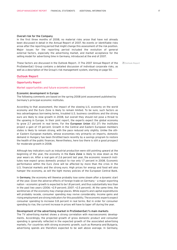### Overall risk for the Company

In the first three months of 2008, no material risks arose that have not already been discussed in detail in the Annual Report of 2007. No events or identifiable risks arose after the reporting period that might change this assessment of the risk position. Major issues for the reporting period included the evolution of general external factors, especially the advertising market, and market acceptance for the selling model for advertising time in Germany, introduced at the end of 2007.

These factors are discussed in the Outlook Report. 4 The 2007 Annual Report of the ProSiebenSat.1 Group contains a detailed discussion of individual corporate risks, as well as a description of the Group's risk management system, starting on page 50.

Outlook Report

# Outlook Report

# Opportunity Report

Market opportunities and future economic environment

# Economic development in Europe

The following comments are based on the spring 2008 joint assessment published by Germany's principal economic institutes.

According to that assessment, the impact of the slowing U.S. economy on the world economy and the Euro Zone is likely to remain limited. To be sure, such factors as less advantageous borrowing terms, troubled U.S. business conditions and the strong euro are likely to slow growth in 2008, but overall they should not pose a threat to the upswing in Europe. In their joint report, the experts expect the global economy to grow 2.7 percent in real terms. For the European Union (EU 27) the institutes project a gain of 1.9 percent. Growth in the Central and Eastern European members states is likely to remain strong, with the pace reduced only slightly. Unlike the other Eastern European markets, whose economies rely primarily on imports, domestic demand in Hungary has been throttled back recently by a savings program to restore the health of the public finances. Nevertheless, here too there is still a good prospect for moderate growth in 2008.

Although key indicators such as industrial production were still pointing upward at the beginning of the year, the economy in the Euro Zone is likely to slow down as the year wears on. After a real gain of 2.6 percent last year, the economic research institutes now expect gross domestic product to rise only 1.7 percent in 2008. Economic performance within the Euro Zone will be affected by more than the crisis in the U.S. financial markets and the strong euro. High prices for energy and food will also hamper the economy, as will the tight money policies of the European Central Bank.

In Germany, the economy will likewise probably lose some steam after a dynamic start of the year. Given the adverse effects of foreign trade on Germany – a major exporting nation – economic growth is expected to be 1.8 percent, and thus substantially less than in the past two years (2006: +2.9 percent; 2007: +2.5 percent). At the same time, the workhorses of the economy may change places. While exports and capital expenditures will probably recede, consumer spending may revive considerably. Income gains and rising employment are strong indicators for this possibility. The economic experts expect consumer spending to increase 0.8 percent in real terms. But in order for consumer spending to rise, the current increase in prices will have to taper off during the year.

#### Development of the advertising market in ProSiebenSat.1's main markets

The TV advertising market shows a strong correlation with macroeconomic developments. Accordingly, the projected growth of gross domestic product and consumer spending is generally reflected in the expected growth of the associated advertising markets. For countries with strong economic growth, such as Romania and Bulgaria, advertising spends are therefore expected to be well above average. In Germany,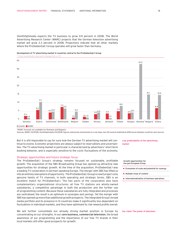ZenithOptimedia expects the TV business to grow 0.9 percent in 2008. The World Advertising Research Center (WARC) projects that the German television advertising market will grow 2.3 percent in 2008. Projections indicate that all other markets where the ProSiebenSat.1 Group operates will grow faster than Germany.

Development of TV advertising market in countries central to the ProSiebenSat.1 Group



\*WARC forecast not available for Romania and Bulgaria.

Sources: WARC 03/2008, ZenithOptimedia 03/2008, figures extensively harmonized on a net base, but still several methodical differences between countries and sources

But it is still impossible to say for sure how the German TV advertising market will continue to evolve. Economic projections are always subject to reservations and uncertainties. The TV advertising market in particular is characterized by advertisers' short-term booking behavior, and is especially sensitive to the cyclic fluctuations of the economy. Low predictability of the advertising market

# Strategic opportunities and future strategic focus

The ProSiebenSat.1 Group's strategy remains focused on sustainable, profitable growth. The acquisition of the SBS Broadcasting Group has opened up attractive new opportunities for strategic growth. At the time of the acquisition, ProSiebenSat.1 was a leading TV corporation in German-speaking Europe. The merger with SBS has lifted us into an entirely new sphere of opportunity. The ProSiebenSat.1 Group is now Europe's only genuine family of TV channels. In both operating and strategic terms, SBS is an excellent match for ProSiebenSat.1. The two parts of the corporation also have complementary organizational structures; all free TV stations are wholly-owned subsidiaries, a competitive advantage in both the production and the further use of programming content. Because these subsidiaries are fully integrated and processes are centralized, the result is an optimum in synergies and savings. Yet the merger with SBS has opened up more than additional growth prospects. The integrated Group's broad media portfolio and its presence in 13 countries make it significantly less dependent on fluctuations in individual markets, and thus have optimized its risk-reward profile overall.

We will further consolidate our already strong market position in Europe by concentrating on our strengths. In our core business, commercial television, the broad awareness of our programming and the importance of our free TV brands in their local markets still offer good prospects for growth.

Growth opportunities for the pan-European Group

- **Economies of scale and potential for synergy**
- Multiple reuse of content
- **n** Internationalization of business operations

Our claim: The power of television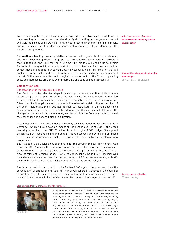To remain competitive, we will continue our diversification strategy even while we go on expanding our core business in television. By distributing our programming on all available media platforms, we will strengthen our presence in the world of digital media, and at the same time tap additional sources of revenue that do not depend on the TV advertising market.

By creating a leading operating platform, we are realizing our third corporate goal, and are now beginning a new strategic phase. The change to a technology infrastructure that is tapeless, and thus for the first time fully digital, will enable us to exploit TV content throughout Europe across all distribution channels. This means a further competitive advantage for our pan-European TV corporation: a transformation that will enable us to act faster and more flexibly in the European media and entertainment market. At the same time, this technological innovation will cut the Group's operating costs and increase its efficiency by standardizing and centralizing processes.  $\overline{a}$ 

# Company outlook

# Expectations for the Group's business

The Group has taken decisive steps to speed up the implementation of its strategy by pursuing a formal plan for action. The new advertising sales model for the German market has been adjusted to increase its competitiveness. The Company is confident that it will regain market share with the adjusted model in the second half of the year. Additionally, the Group has decided to restructure its German advertising sales organization to more optimally address the German market following the changes in the advertising sales model, and to position the Company better to meet the challenges and opportunities of digitization.

In connection with the uncertainties provoked by the sales model for advertising time in Germany – which will also have an impact on the second quarter of 2008 – the Group has adopted a plan to cut EUR 70 million from its original 2008 budget. Savings will be achieved by reducing selling and administrative expenses and by making optimized use of existing programming assets. The Group will remain active in developing new programming.

Sat.1 has been a particular point of emphasis for the Group in the past few months. As a trend for 2008 (January through April) so far, the station has increased its average audience share in its key demographic to 11.0 percent , compared to 10.5 percent last year. Now the family of German stations – Sat.1, ProSieben, kabel eins and N24 – has improved its audience share, as the trend for the year so far, to 29.3 percent (viewers aged 14-49, January to April), compared to 28.8 percent for the same period last year

The Group expects to improve its profits further 2008 against the prior year. Here the consolidation of SBS for the full year will help, as will synergies achieved in the course of integration. Given the successes we have achieved in the first quarter, especially in programming, we continue to be confident about the course of the integration process.  $\mathbb{Z}$   $\blacksquare$  Programming

#### Blockbusters, free TV premieres and film highlights



We're bringing Hollywood movies right into viewers' living rooms: In the coming months, viewers of ProSiebenSat.1 Group stations can once again expect to see a variety of blockbusters, including "Into the Blue" (e.g., ProSieben, D), "Mr. & Mrs. Smith" (e.g., VT4, B), "War of the Worlds" (e.g., TVNORGE, NO) and "The Geisha" (e.g., Net 5, NL). Free TV premieres like "Barfuss" with Til Schweiger (Sat.1, D) and "Munich" (e.g., Kanal 5, DK) as well as all-time classics like "American Beauty" (e.g., kabel eins, D) and the complete set of Indiana Jones movies (e.g., TV2, HUN) will ensure that viewers all over Europe can enjoy perfect TV entertainment.

Additional sources of revenue by cross-medial and geographical diversification

Competitive advantage by all-digital technologies Major events of Q1 2008

Large synergy potential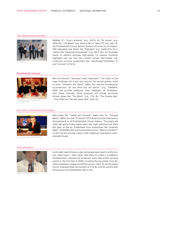#### Top-rated US shows and more



"CSI:Miami"

### Something for everyone



'Germany's next Topmodel<br>by Heidi Klum''

#### Docu-series, infotainment and comedy



# News and sports



Dieter Kronzucker on N24

Whether it's "Grey's Anatomy" (e.g., VIJFtv, B), "Dr. House" (e.g., SBS6, NL), "CSI: Miami" (e.g., Kanal 5, DK) or "Navy CIS" (e.g., Sat.1, D), the ProSiebenSat.1 Group delivers the best US series for its viewers. With appealing new shows like "Damages" (e.g., kabel eins, D) or classics like "Desperate Housewives" (e.g., Net 5, NL), our European family of stations provides high-quality TV viewing. Domestic highlights over the next few months include high-budget, topof-the-line in-house productions like "Unschuldig"(ProSieben, D) and "Vermist" (VT4, B).

Who will become "Germany's Next Topmodel"? The finale of the huge ProSieben hit is just one surprise the second quarter holds in store. "Holland's Got Talent" (SBS6, NL) and the Scandinavian co-production "So you think you can dance!" (e.g., TVNORGE, NOR) will provide additional show highlights on ProSieben-Sat.1 Group channels. Other programs will include successful format shows like "The Block" (e.g., VT4, B), "The Singing Bee" (TV2, HUN) and "Nur die Liebe zählt" (Sat.1, D).

New shows like "Tränen am Terminal" (kabel eins, D), "Teenage Moms" (SBS6, NL) and "FC Nerds" (VT4, B) will provide entertaining docutainment on all ProSiebenSat.1 Group stations. The laughs will really get going Friday nights when late night talkshow host Niels Ruf goes on the air. Established local productions like "Andenes Makt" (TVNORGE, NO) and travel shows such as "Where is the Mol?" (VIJFtv, B) will provide viewers with additional informative enter-

Up-to-date news 24 hours a day and background reports on the hottest, latest topics – that's what N24 offers its viewers. In addition, ProSiebenSat.1 channels will broadcast many high-profile sporting events in the first half of 2008, including the top games from the UEFA Champions League and UEFA Cup (e.g., Sat.1, D), the European Soccer Championships (exclusively on VT4, B), and the world's best tennis action from Wimbledon (Net 5, NL).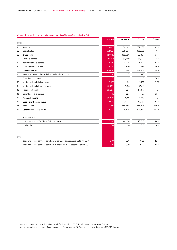# Consolidated income statement for ProSiebenSat.1 Media AG

|       |                                                                               | <b>Q1 2008</b> | Q1 2007    | Change    | Change    |
|-------|-------------------------------------------------------------------------------|----------------|------------|-----------|-----------|
| EUR k |                                                                               |                |            |           | in $%$    |
| 1.    | Revenues                                                                      | 729,070        | 501,183    | 227,887   | 45%       |
| 2.    | Cost of sales                                                                 | $-501,127$     | $-335,294$ | 165,833   | 49%       |
| 3.    | <b>Gross profit</b>                                                           | 227,943        | 165,889    | 62,054    | 37%       |
| 4.    | Selling expenses                                                              | $-114,367$     | $-55,440$  | 58,927    | 106%      |
| 5.    | Administrative expenses                                                       | $-67,242$      | $-41,515$  | 25,727    | 62%       |
| 6.    | Other operating income                                                        | 3,546          | 2,950      | 596       | 20%       |
| 7.    | <b>Operating profit</b>                                                       | 49,880         | 71,884     | $-22,004$ | $-31%$    |
| 8.    | Income from equity interests in associated companies                          | 2,011          | 71         | 1,940     | $-$ / $-$ |
| 9.    | Other financial result                                                        | $-1$ -         | 5          | $-5$      | $-100%$   |
| 10.   | Net interest and similar income                                               | 2,472          | 912        | 1,560     | 171%      |
| 11.   | Net interest and other expenses                                               | $-62,757$      | $-5,136$   | 57,621    | $-$ / $-$ |
| 12.   | Net interest result                                                           | $-60,285$      | $-4,224$   | $-56,061$ | $-$ / $-$ |
| 13.   | Other financial expenses                                                      | $-146$         | $-223$     | $-77$     | $-35%$    |
| 14.   | <b>Financial income</b>                                                       | $-58,420$      | $-4,371$   | $-54,049$ | $-$ / $-$ |
| 15.   | Loss / profit before taxes                                                    | $-8,540$       | 67,513     | $-76,053$ | $-113%$   |
| 16.   | Income taxes                                                                  | 2,519          | $-25,687$  | $-28,206$ | $-110%$   |
| 17.   | Consolidated loss / profit                                                    | $-6,021$       | 41,826     | $-47,847$ | $-114%$   |
|       | attributable to                                                               |                |            |           |           |
|       | Shareholders of ProSiebenSat.1 Media AG                                       | $-7,935$       | 40,630     | $-48,565$ | $-120%$   |
|       | Minorities                                                                    | 1,914          | 1,196      | 718       | 60%       |
|       |                                                                               |                |            |           |           |
| EUR   |                                                                               |                |            |           |           |
|       | Basic and diluted earnings per share of common stock according to IAS 33 *    | $-0.04$        | 0.19       | $-0.23$   | $-121%$   |
|       | Basic and diluted earnings per share of preferred stock according to IAS 33 * | $-0.04$        | 0.19       | $-0.23$   | $-121%$   |

\* thereby accounted for consolidated net profit for the period: -7.9 EUR m [previous period: 40.6 EUR m]; thereby accounted for number of common and preferred shares: 218,664 thousand [previous year: 218,797 thousand]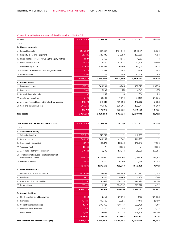# Consolidated balance sheet of ProSiebenSat.1 Media AG

| <b>ASSETS</b>                                          | 03/31/2008 | 03/31/2007 | Change    | 12/31/2007 | Change         |
|--------------------------------------------------------|------------|------------|-----------|------------|----------------|
| EUR k                                                  |            |            |           |            |                |
| A. Noncurrent assets                                   |            |            |           |            |                |
| Intangible assets                                      | 3,526,507  | 331,867    | 3,194,640 | 3,540,371  | $-13,864$      |
| Property, plant and equipment<br>Ш.                    | 263,715    | 225,835    | 37,880    | 267,869    | $-4,154$       |
| III. Investments accounted for using the equity method | 4,587      | 6,462      | $-1,875$  | 4,583      | $\overline{4}$ |
| IV. Other financial assets                             | 58,377     | 3,530      | 54,847    | 70,508     | $-12,131$      |
| V. Programming assets                                  | 916,585    | 686,225    | 230,360   | 917.110    | $-525$         |
| VI. Accounts receivable and other long-term assets     | 14,345     | 1,547      | 12,798    | 14,091     | 254            |
| VII. Deferred taxes                                    | 72,309     | $-$ / $-$  | 72,309    | 50,708     | 21,601         |
|                                                        | 4,856,425  | 1,255,466  | 3,600,959 | 4,865,240  | $-8,815$       |
| <b>Current assets</b><br>в.                            |            |            |           |            |                |
| Programming assets                                     | 373,799    | 380,564    | $-6,765$  | 400,575    | $-26,776$      |
| Inventories<br>Ш.                                      | 6,180      | 5,209      | 971       | 4,849      | 1,331          |
| III. Current financial assets                          | 235        | 249        | $-14$     | 264        | $-29$          |
| IV. Assets for current tax                             | 61,175     | 53,305     | 7.870     | 34.109     | 27,066         |
| V. Accounts receivable and other short-term assets     | 440,174    | 240,316    | 199,858   | 442,962    | $-2,788$       |
| VI. Cash and cash equivalents                          | 296,350    | 95,545     | 200,805   | 250,847    | 45,503         |
|                                                        | 1,177,913  | 775,188    | 402,725   | 1,133,606  | 44,307         |
| <b>Total assets</b>                                    | 6,034,338  | 2,030,654  | 4,003,684 | 5,998,846  | 35,492         |

| LIABILITIES AND SHAREHOLDERS' EQUITY                                        | 03/31/2008 | 03/31/2007 | Change     | 12/31/2007 | Change    |
|-----------------------------------------------------------------------------|------------|------------|------------|------------|-----------|
| EUR k                                                                       |            |            |            |            |           |
| A. Shareholders' equity                                                     |            |            |            |            |           |
| Subscribed capital<br>ı.                                                    | 218,797    | 218,797    | $-$ / $-$  | 218,797    | $-$ / $-$ |
| II. Capital reserves                                                        | 546,987    | 589,949    | $-42,962$  | 546,987    | $-$ / $-$ |
| III. Group equity generated                                                 | 334,711    | 486,373    | $-151,662$ | 342,646    | $-7,935$  |
| IV. Treasury stock                                                          | $-12,335$  | $-$ / $-$  | $-12,335$  | $-$ / $-$  | $-12,335$ |
| V. Accumulated other Group equity                                           | $-120,424$ | $-8,180$   | $-112,244$ | $-56,539$  | $-63,885$ |
| VI. Total equity attributable to shareholders of<br>ProSiebenSat.1 Media AG | 967,736    | 1,286,939  | $-319,203$ | 1,051,891  | $-84,155$ |
| VII. Minority interests                                                     | 16,639     | 6,679      | 9,960      | 10,435     | 6,204     |
|                                                                             | 984,375    | 1,293,618  | $-309,243$ | 1,062,326  | $-77,951$ |
| <b>B.</b> Noncurrent liabilities                                            |            |            |            |            |           |
| Long-term loans and borrowings                                              | 3,579,305  | 183,656    | 3,395,649  | 3,577,297  | 2,008     |
| Provisions<br>II.                                                           | 10,428     | 6,183      | 4,245      | 11,308     | $-880$    |
| III. Noncurrent financial liabilities                                       | 303,191    | 115,132    | 188,059    | 201,420    | 101,771   |
| IV. Deferred taxes                                                          | 203,100    | 2,143      | 200,957    | 207,272    | $-4,172$  |
|                                                                             | 4,096,024  | 307,114    | 3,788,910  | 3,997,297  | 98,727    |
| C. Current liabilities                                                      |            |            |            |            |           |
| Short-term loans and borrowings<br>ı.                                       | 132,034    | 2,160      | 129,874    | 2,196      | 129,838   |
| II. Provisions                                                              | 154,719    | 115,503    | 39,216     | 177,819    | $-23,100$ |
| III. Current financial liabilities                                          | 485,319    | 296,852    | 188,467    | 532,706    | $-47,387$ |
| IV. Liabilities for current tax                                             | 581        | 1,364      | $-783$     | 1,706      | $-1,125$  |
| V. Other liabilities                                                        | 181,286    | 14,043     | 167,243    | 224,796    | $-43,510$ |
|                                                                             | 953,939    | 429,922    | 524,017    | 939,223    | 14,716    |
| Total liabilities and shareholders' equity                                  | 6,034,338  | 2,030,654  | 4,003,684  | 5,998,846  | 35,492    |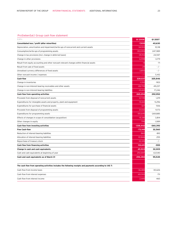# ProSiebenSat.1 Group cash flow statement

| n rookebenoath oroap cash now statement                                                                  |                |            |
|----------------------------------------------------------------------------------------------------------|----------------|------------|
| EUR k                                                                                                    | <b>Q1 2008</b> | Q1 2007    |
| Consolidated loss / profit (after minorities)                                                            | $-7,935$       | 40,630     |
| Depreciation, amortization and impairment/write-ups of noncurrent and current assets                     | 34,933         | 10,118     |
| Consumption/write-ups of programming assets                                                              | 353,955        | 247,989    |
| Change in tax provisions [incl. change in deferred taxes]                                                | $-39,153$      | 24,947     |
| Change in other provisions                                                                               | $-6,598$       | $-3,179$   |
| Result from equity accounting and other noncash relevant changes within financial assets                 | 14             | $-71$      |
| Result from sale of fixed assets                                                                         | $-29$          | $-$ / $-$  |
| Unrealised currency differences of fixed assets                                                          | 3,85C          | $-$ / $-$  |
| Other noncash income / expenses                                                                          |                | 5,412      |
| Cash-flow                                                                                                | 339,037        | 325,846    |
| Change in inventories                                                                                    | $-1,332$       | $-903$     |
| Change in non-interest-bearing receivables and other assets                                              | $-28,799$      | -49,237    |
| Change in non-interest-bearing liabilities                                                               | $-43,612$      | 17,246     |
| Cash flow from operating activities                                                                      | 265,294        | 292,952    |
| Proceeds from disposal of noncurrent assets                                                              | 12,745         | 1,219      |
| Expenditures for intangible assets and property, plant and equipment                                     | $-10,661$      | $-5,296$   |
| Expenditures for purchase of financial assets                                                            | $-327$         | $-506$     |
| Proceeds from disposal of programming assets                                                             | 21,032         | 9,173      |
| Expenditures for programming assets                                                                      | $-351,645$     | $-269,885$ |
| Effects of changes in scope of consolidation (acquisition)                                               | $-10,381$      | 3,814      |
| Other changes in equity                                                                                  | 795            | 1,089      |
| Cash flow from investing activities                                                                      | $-338,442$     | -260,392   |
| <b>Free Cash-flow</b>                                                                                    | $-73,148$      | 32,560     |
| Reduction of interest-bearing liabilities                                                                | $-860$         | $-810$     |
| Allocation of interest-bearing liabilities                                                               | 131,846        | 255        |
| Repurchase of treasury stock                                                                             | $-12,335$      | $-$ / $-$  |
| Cash flow from financing activities                                                                      | 118,651        | $-555$     |
| Change in cash and cash equivalents                                                                      | 45,503         | 32,005     |
| Cash and cash equivalents at beginning of year                                                           | 250,847        | 63,540     |
| Cash and cash equivalents as of March 31                                                                 | 296,350        | 95,545     |
| The cash flow from operating activities includes the following receipts and payments according to IAS 7: |                |            |
| Cash flow from income taxes                                                                              | $-36,483$      | $-30,626$  |
| Cash flow from interest expenses                                                                         | $-65,502$      | $-711$     |
| Cash flow from interest income                                                                           | 2.445          | 460        |
|                                                                                                          |                |            |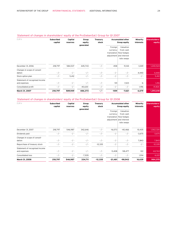# Statement of changes in shareholders' equity of the ProSiebenSat.1 Group for Q1 2007

| EUR k                                          | <b>Subscribed</b><br>capital | Capital<br>reserves | Group<br>equity<br>generated | <b>Treasury</b><br>stock | <b>Accumulated other</b><br>Group equity |                                                                                            | Minority<br>interests | Shareholders'<br>equity |
|------------------------------------------------|------------------------------|---------------------|------------------------------|--------------------------|------------------------------------------|--------------------------------------------------------------------------------------------|-----------------------|-------------------------|
|                                                |                              |                     |                              |                          | Foreign<br>currency                      | Valuation<br>from cash<br>translation flow hedges<br>adjustment and interest<br>rate swaps |                       |                         |
| December 31, 2006                              | 218,797                      | 584,537             | 445,743                      | $-$ / $-$                | $-458$                                   | $-9,144$                                                                                   | 1,049                 | 1,240,524               |
| Changes in scope of consoli-<br>dation         | $-$ / $-$                    | $-$ / $-$           | $-$ / $-$                    | $-$ / -                  | $-$ / $-$                                | $-$ / $-$                                                                                  | 4,440                 | 4,440                   |
| Stock option plan                              | $-$ / $-$                    | 5,412               | $-$ / $-$                    | $-$ / $-$                | $-$ / $-$                                | $-$ / $-$                                                                                  | $-$ / $-$             | 5,412                   |
| Statement of recognised income<br>and expenses | $-$ / $-$                    | $-$ / $-$           | $-$ / $-$                    | $-$ / $-$                | $-101$                                   | 1,523                                                                                      | -6                    | 1,416                   |
| Consolidated profit                            | $-$ / $-$                    | $-$ / $-$           | 40,630                       | $-$ / $-$                | $-$ / $-$                                | $-$ / $-$                                                                                  | 1,196                 | 41,826                  |
| March 31, 2007                                 | 218,797                      | 589,949             | 486,373                      | $-1 -$                   | $-559$                                   | $-7,621$                                                                                   | 6,679                 | 1,293,618               |

# Statement of changes in shareholders' equity of the ProSiebenSat.1 Group for Q1 2008

| EUR k                                          | <b>Subscribed</b><br>capital | Capital<br>reserves | Group<br>equity<br>generated | <b>Treasury</b><br>stock | <b>Accumulated other</b><br>Group equity |                                                                                            | Minority<br>interests | Shareholders'<br>equity |
|------------------------------------------------|------------------------------|---------------------|------------------------------|--------------------------|------------------------------------------|--------------------------------------------------------------------------------------------|-----------------------|-------------------------|
|                                                |                              |                     |                              |                          | Foreign<br>currency                      | Valuation<br>from cash<br>translation flow hedges<br>adjustment and interest<br>rate swaps |                       |                         |
| December 31, 2007                              | 218,797                      | 546,987             | 342,646                      | $-$ / $-$                | $-16,073$                                | $-40,466$                                                                                  | 10,435                | 1,062,326               |
| Dividends paid                                 | $-$ / $-$                    | $-$ / $-$           | $-$ / $-$                    | $-$ / $-$                | $-$ / $-$                                | $-$ / -                                                                                    | $-3,675$              | $-3,675$                |
| Changes in scope of consoli-<br>dation         | $-$ / $-$                    | $-$ / $-$           | $-$ / $-$                    | $-$ / $-$                | $-$ / $-$                                | $-$ / -                                                                                    | 7,843                 | 7,843                   |
| Repurchase of treasury stock                   | $-$ / $-$                    | $-$ / $-$           | $-$ / $-$                    | $-12,335$                | $-$ / $-$                                | $-$ / $-$                                                                                  | $-$ / $-$             | $-12,335$               |
| Statement of recognised income<br>and expenses | $-$ / $-$                    | $-$ / $-$           | $-$ / $-$                    | $-$ / $-$                | $-5,408$                                 | $-58,477$                                                                                  | 122                   | $-63,763$               |
| Consolidated loss                              | $-$ / $-$                    | $-$ / $-$           | $-7,935$                     | $-$ / $-$                | $-$ / $-$                                | $-$ / $-$                                                                                  | 1,914                 | $-6,021$                |
| March 31, 2008                                 | 218,797                      | 546,987             | 334,711                      | $-12,335$                | $-21,481$                                | -98,943                                                                                    | 16,639                | 984,375                 |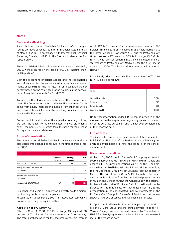# Notes

# Basis and Methodology

As a listed corporation, ProSiebenSat.1 Media AG has prepared its abridged consolidated interim financial statements as of March 31, 2008, in accordance with International Financial Reporting Standards (IFRS) in the form applicable in the European Union.

The consolidated interim financial statements at March 31, 2008, were prepared on the basis of IAS 34, "Interim Financial Reporting."

Both the accounting principles applied and the explanations and information for the consolidated interim financial statements under IFRS for the first quarter of fiscal 2008 are generally based on the same accounting policies as the consolidated financial statements for fiscal 2007.

To improve the clarity of presentation in the income statement, the first-quarter report combines the line items for income from equity interests and income from other securities and loans of financial assets; the resulting combined item is explained in the notes.

For further information about the applied accounting policies, we refer the reader to the consolidated financial statements as of December 31, 2007, which form the basis for the present first-quarter financial statements.

### Scope of consolidation

The number of subsidiaries included in the consolidated financial statements changed as follows in the first quarter of fiscal 2008:

|                                         | <b>Domestic</b><br>market | Foreign<br>market | <b>Total</b> |
|-----------------------------------------|---------------------------|-------------------|--------------|
| Included at 12/31/2007                  | 46                        | 130               | 176          |
| Newly founded/consolidated<br>companies |                           | 3                 |              |
| Merged/disconsolidated<br>companies     | $-1$                      | - 4               | -4           |
| Included at 03/31/2008                  | 47                        | 129               | 176          |

ProSiebenSat.1 Media AG directly or indirectly holds a majority of voting rights in these companies.

Fifteen (as of December 31, 2007: 15) associated companies are reported using the equity method.

# Acquisition of TV2 Saturn AS

Effective March 1, 2008, SBS Radio Norge AS acquired 100 percent of TV2 Saturn AS, headquartered in Oslo, Norway. The total purchase price for the acquired ownership interest

was EUR 7,945 thousand. For the same amount, in return, SBS Belgium NV sold 23% of its shares in SBS Radio Norge AS to the former owner of TV2 Saturn AS. Thus the ProSiebenSat.1 Group now owns 77 percent of SBS Radio Norge AS. TV2 Saturn AS was fully consolidated into the consolidated financial statements of ProSiebenSat.1 Media AG for the first time as of March 1, 2008. TV2 Saturn AS operates a radio station in Norway.

Immediately prior to the acquisition, the net assets of TV2 Saturn AS looked as follows:

| EUR k                |          |
|----------------------|----------|
|                      |          |
| Intangible assets    | 9,814    |
| Non current assets   | 615      |
| Current assets       | 396      |
| Loan and liabilities | $-2,880$ |

No further information under IFRS 3 can be provided at the moment, since the step-up was begun only upon consummation of the purchase agreement and had not been completed as of the reporting date.

# Income taxes

The income tax expense (income) was calculated pursuant to IAS 34.30 on the basis of the best estimate of the weighted average annual income tax rate (the tax rate for the consolidated group).

# Discontinued operations

On March 31, 2008, the ProSiebenSat.1 Group signed an outsourcing agreement with IBM, under which IBM will handle and expand all IT business applications, as well as the IT and media systems at ProSiebenSat.1 Produktion. At the same time, the ProSiebenSat.1 Group will set up a new "playout center" in Munich. This will allow the Group's TV channels to be broadcast throughout Europe from two centralized playout centers in Munich and London (Chiswick). Consequently, the originally planned sale of all of ProSiebenSat.1 Produktion will not be pursued for the time being. For that reason, contrary to the presentation in the consolidated financial statements of the ProSiebenSat.1 Group, ProSiebenSat.1 Produktion is no longer shown as a group of assets and liabilities held for sale.

In April, the ProSiebenSat.1 Group stepped up its work to sell the C More Group and the print activities relating to " Veronica" magazine over the next few months. The criteria in IFRS 5 for classifying those activities as held for sale, were not met at the reporting date.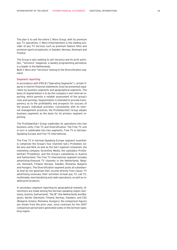The plan is to sell the entire C More Group, with its premium pay TV operations. C More Entertainment is the leading provider of pay TV services such as premium feature films and premium sports broadcasts, in Sweden, Norway, Denmark and Finland.

The Group is also seeking to sell Veronica and its print activities. "Veronica" magazine, a weekly programming periodical, is a leader in the Netherlands.

Both C More and "Veronica" belong to the Diversification segment.

# Segment reporting

In accordance with IFRS 8 ("Operating Segments"), certain figures in interim financial statements must be presented separately by business segments and geographical segments. The basis of segmentation is to be the company's own internal reporting, which permits a reliable assessment of the group's risks and earnings. Segmentation is intended to provide transparency as to the profitability and prospects for success of the group's individual activities. Consistently with its internal management practices, the ProSiebenSat.1 Group adopts business segments as the basis for its primary segment reporting.

The ProSiebenSat.1 Group subdivides its operations into two business units, Free TV and Diversification. The Free TV unit in turn is subdivided into two segments, Free TV in German-Speaking Europe and Free TV International.

The Free TV in German-Speaking Europe segment essentially comprises the Group's four channels Sat.1, ProSieben, kabel eins and N24, as well as the Sat.1 regional companies, the marketing company SevenOne Media, the subsidiary ProSiebenSat.1 Produktion, and the Group's subsidiaries in Austria and Switzerland. The Free TV International segment includes advertising-financed TV channels in the Netherlands, Belgium, Denmark, Finland, Norway, Sweden, Romania, Bulgaria and Hungary. The Diversification segment pools all subsidiaries that do not generate their income directly from classic TV advertising revenues; their activities include pay TV, call TV, multimedia, merchandising and radio operations, as well as related print products.

In secondary segment reporting by geographical markets, distinctions are made among the German-speaking region (Germany, Austria, Switzerland), "NL/B" (the Netherlands and Belgium), Nordic (Denmark, Finland, Norway, Sweden), and CEE (Bulgaria, Greece, Romania, Hungary). No comparison figures are shown from the prior year, since revenues for the 2007 comparison period were generated solely in the German-speaking region.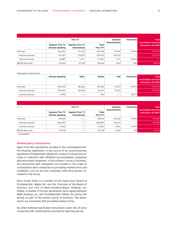| EUR k                   | Free TV                            |                                  |                   | Segment                | <b>Transitions</b> | <b>Total</b>                                 |
|-------------------------|------------------------------------|----------------------------------|-------------------|------------------------|--------------------|----------------------------------------------|
|                         | Segment Free TV<br>German-speaking | Segment Free TV<br>International | Total<br>Free TV* | <b>Diversification</b> |                    | consolidated financial<br>statements 01 2008 |
| Revenues                | 433,022                            | 177,427                          | 610,449           | 137.641                | $-19.020$          | 729,070                                      |
| External revenues       | 417.135                            | 176.015                          | 593.150           | 135.920                | $-$ / $-$          | 729.070                                      |
| Internal revenues       | 15,887                             | 1.412                            | 17.299            | 1.721                  | $-19.020$          | $-1-$                                        |
| <b>EBITDA Recurring</b> | 57,626                             | 27,518                           | 85.144            | 4,013                  | $-696$             | 88,461                                       |

# Geographical allocation

|                   | German Speaking | <b>B/NL</b>              | <b>Nordic</b> | <b>CEE</b> | <b>Transitions</b>               | <b>Total</b><br>consolidated financial<br>statements Q1 2008 |
|-------------------|-----------------|--------------------------|---------------|------------|----------------------------------|--------------------------------------------------------------|
| Revenues          | 496.769         | 86,662                   | 130.589       | 33.323     | $-18.273$                        | 729,070                                                      |
| External revenues | 479.414         | 86,662                   | 129.671       | 33.323     | $-1$<br>$\overline{\phantom{a}}$ | 729,070                                                      |
| Internal revenues | 17,355          | $\overline{\phantom{a}}$ | 918           | $\omega$ . | $-18.273$                        | $-1-$                                                        |

| EUR k                   | Free TV                            |                                  |                          | Segment<br><b>Diversification</b> | <b>Transitions</b> | <b>Total</b><br>consolidated financial |
|-------------------------|------------------------------------|----------------------------------|--------------------------|-----------------------------------|--------------------|----------------------------------------|
|                         | Segment Free TV<br>German-speaking | Segment Free TV<br>International | <b>Total</b><br>Free TV* |                                   |                    | statements Q1 2007                     |
| Revenues                | 456,411                            | $-1 -$                           | 456.411                  | 64,066                            | $-19.294$          | 501,183                                |
| External revenues       | 438,559                            | $-1 -$                           | 438,559                  | 62,624                            | $-$ / $-$          | 501,183                                |
| Internal revenues       | 17,852                             | $-$ / $-$                        | 17,852                   | 1.442                             | $-19.294$          | $-1-$                                  |
| <b>EBITDA Recurring</b> | 70.709                             | $-$ / $-$                        | 70.709                   | 11.544                            | $-129$             | 82.124                                 |

\* consolidated

# Related-party transactions

Apart from the subsidiaries included in the consolidated interim financial statements, in the course of its normal business operations ProSiebenSat.1 Media AG conducts transactions directly or indirectly with affiliated unconsolidated companies and associated companies. In the ordinary course of business, all transactions with companies not included in the scope of consolidation were conducted on prevailing market terms and conditions, such as are also customary with third parties unrelated to the Group.

Harry Evans Sloan is a member of the Supervisory Board of ProSiebenSat.1 Media AG, and the Chairman of the Board of Directors and CEO of Metro-Goldwyn-Mayer Holdings, Inc. (MGM). A number of license agreements were signed between MGM Holdings Inc. and ProSiebenSat.1 Media AG during the period, as part of the normal course of business. The agreements are consistent with prevailing market terms.

No other material reportable transactions under IAS 24 were conducted with related parties during the reporting period.